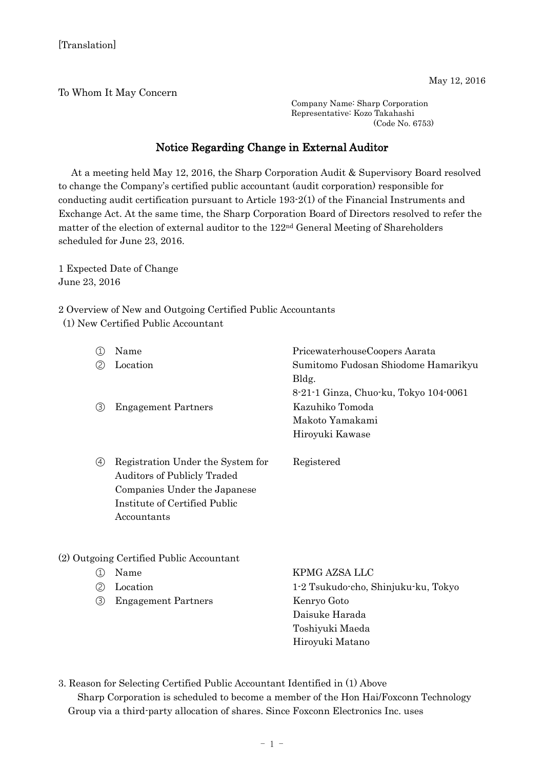May 12, 2016

To Whom It May Concern

Company Name: Sharp Corporation Representative: Kozo Takahashi (Code No. 6753)

## Notice Regarding Change in External Auditor

At a meeting held May 12, 2016, the Sharp Corporation Audit & Supervisory Board resolved to change the Company's certified public accountant (audit corporation) responsible for conducting audit certification pursuant to Article 193-2(1) of the Financial Instruments and Exchange Act. At the same time, the Sharp Corporation Board of Directors resolved to refer the matter of the election of external auditor to the 122nd General Meeting of Shareholders scheduled for June 23, 2016.

1 Expected Date of Change June 23, 2016

2 Overview of New and Outgoing Certified Public Accountants (1) New Certified Public Accountant

| $\left( 1\right)$                        | Name                                                                                                                                     | PricewaterhouseCoopers Aarata                                                         |
|------------------------------------------|------------------------------------------------------------------------------------------------------------------------------------------|---------------------------------------------------------------------------------------|
| (2)                                      | Location                                                                                                                                 | Sumitomo Fudosan Shiodome Hamarikyu<br>Bldg.<br>8-21-1 Ginza, Chuo-ku, Tokyo 104-0061 |
| ③                                        | <b>Engagement Partners</b>                                                                                                               | Kazuhiko Tomoda                                                                       |
|                                          |                                                                                                                                          | Makoto Yamakami                                                                       |
|                                          |                                                                                                                                          | Hiroyuki Kawase                                                                       |
| (4)                                      | Registration Under the System for<br><b>Auditors of Publicly Traded</b><br>Companies Under the Japanese<br>Institute of Certified Public | Registered                                                                            |
|                                          | Accountants                                                                                                                              |                                                                                       |
| (2) Outgoing Certified Public Accountant |                                                                                                                                          |                                                                                       |
| ①                                        | Name                                                                                                                                     | KPMG AZSA LLC                                                                         |
| ②                                        | Location                                                                                                                                 | 1-2 Tsukudo-cho, Shinjuku-ku, Tokyo                                                   |
| ③                                        | <b>Engagement Partners</b>                                                                                                               | Kenryo Goto<br>Daisuke Harada<br>Toshiyuki Maeda<br>Hiroyuki Matano                   |

3. Reason for Selecting Certified Public Accountant Identified in (1) Above Sharp Corporation is scheduled to become a member of the Hon Hai/Foxconn Technology Group via a third-party allocation of shares. Since Foxconn Electronics Inc. uses